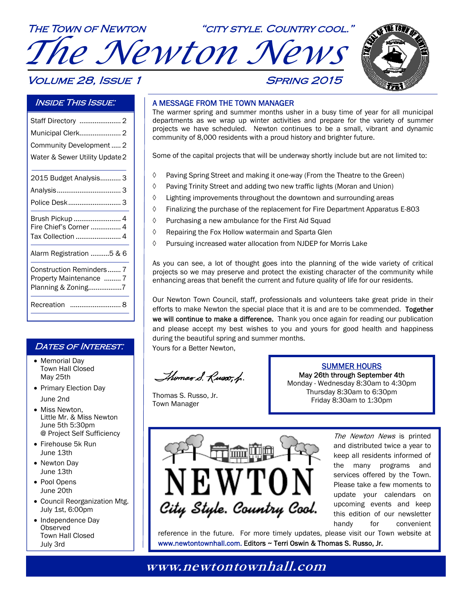**ETTE TOA**  The Town of Newton "city style. Country cool." *The Newton News* 

### **VOLUME 28, ISSUE 1 SPRING 2015**



### Inside This Issue:

| Staff Directory  2                                                        |
|---------------------------------------------------------------------------|
| Municipal Clerk 2                                                         |
| Community Development 2                                                   |
| Water & Sewer Utility Update 2                                            |
| 2015 Budget Analysis 3                                                    |
|                                                                           |
| Police Desk 3                                                             |
| Brush Pickup  4<br>Fire Chief's Corner  4<br>Tax Collection  4            |
| Alarm Registration 5 & 6                                                  |
| Construction Reminders 7<br>Property Maintenance  7<br>Planning & Zoning7 |
| Recreation                                                                |

### DATES OF INTEREST:

- Memorial Day Town Hall Closed May 25th
- Primary Election Day June 2nd
- Miss Newton, Little Mr. & Miss Newton June 5th 5:30pm @ Project Self Sufficiency
- Firehouse 5k Run June 13th
- Newton Day June 13th
- Pool Opens June 20th
- Council Reorganization Mtg. July 1st, 6:00pm
- Independence Day Observed Town Hall Closed July 3rd

A MESSAGE FROM THE TOWN MANAGER

The warmer spring and summer months usher in a busy time of year for all municipal departments as we wrap up winter activities and prepare for the variety of summer projects we have scheduled. Newton continues to be a small, vibrant and dynamic community of 8,000 residents with a proud history and brighter future.

Some of the capital projects that will be underway shortly include but are not limited to:

- $\Diamond$  Paving Spring Street and making it one-way (From the Theatre to the Green)
- $\Diamond$  Paving Trinity Street and adding two new traffic lights (Moran and Union)
- $\Diamond$  Lighting improvements throughout the downtown and surrounding areas
- $\Diamond$  Finalizing the purchase of the replacement for Fire Department Apparatus E-803
- $\Diamond$  Purchasing a new ambulance for the First Aid Squad
- $\Diamond$  Repairing the Fox Hollow watermain and Sparta Glen
- $\Diamond$  Pursuing increased water allocation from NJDEP for Morris Lake

As you can see, a lot of thought goes into the planning of the wide variety of critical projects so we may preserve and protect the existing character of the community while enhancing areas that benefit the current and future quality of life for our residents.

Our Newton Town Council, staff, professionals and volunteers take great pride in their efforts to make Newton the special place that it is and are to be commended. Together we will continue to make a difference. Thank you once again for reading our publication and please accept my best wishes to you and yours for good health and happiness during the beautiful spring and summer months.

Yours for a Better Newton,

Thomas S. Russo, h.

**SUMMER HOURS** May 26th through September 4th Monday - Wednesday 8:30am to 4:30pm Thursday 8:30am to 6:30pm Friday 8:30am to 1:30pm



City Style. Country Cool.

The Newton News is printed and distributed twice a year to keep all residents informed of the many programs and services offered by the Town. Please take a few moments to update your calendars on upcoming events and keep this edition of our newsletter handy for convenient

reference in the future. For more timely updates, please visit our Town website at www.newtontownhall.com. Editors ~ Terri Oswin & Thomas S. Russo, Jr.

### **www.newtontownhall.com www.newtontownhall.com**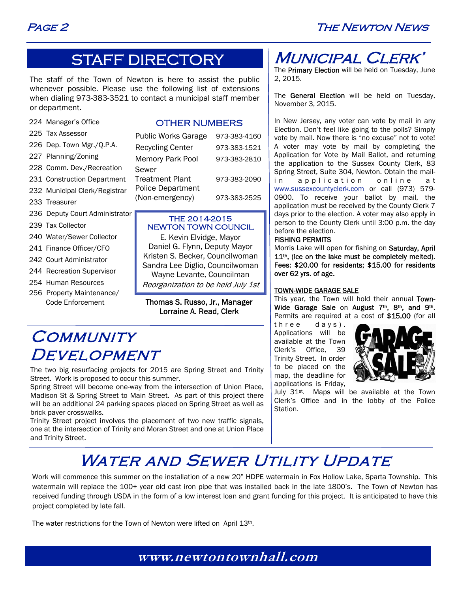### STAFF DIRECTORY

The staff of the Town of Newton is here to assist the public whenever possible. Please use the following list of extensions when dialing 973-383-3521 to contact a municipal staff member or department.

|  | 224 Manager's Office |  |
|--|----------------------|--|
|--|----------------------|--|

#### 225 Tax Assessor

- 226 Dep. Town Mgr./Q.P.A.
- 227 Planning/Zoning
- 228 Comm. Dev./Recreation
- 231 Construction Department
- 232 Municipal Clerk/Registrar
- 233 Treasurer
- 236 Deputy Court Administrator
- 239 Tax Collector
- 240 Water/Sewer Collector
- 241 Finance Officer/CFO
- 242 Court Administrator
- 244 Recreation Supervisor
- 254 Human Resources
- 256 Property Maintenance/ Code Enforcement

### OTHER NUMBERS

| <b>Public Works Garage</b> | 973-383-4160 |
|----------------------------|--------------|
| <b>Recycling Center</b>    | 973-383-1521 |
| <b>Memory Park Pool</b>    | 973-383-2810 |
| Sewer                      |              |
| <b>Treatment Plant</b>     | 973-383-2090 |
| <b>Police Department</b>   |              |
| (Non-emergency)            | 973-383-2525 |

#### THE 2014-2015 NEWTON TOWN COUNCIL

E. Kevin Elvidge, Mayor Daniel G. Flynn, Deputy Mayor Kristen S. Becker, Councilwoman Sandra Lee Diglio, Councilwoman Wayne Levante, Councilman Reorganization to be held July 1st

Thomas S. Russo, Jr., Manager Lorraine A. Read, Clerk

### **MUNICIPAL CLERK'**

The Primary Election will be held on Tuesday, June 2, 2015.

The General Election will be held on Tuesday, November 3, 2015.

In New Jersey, any voter can vote by mail in any Election. Don't feel like going to the polls? Simply vote by mail. Now there is "no excuse" not to vote! A voter may vote by mail by completing the Application for Vote by Mail Ballot, and returning the application to the Sussex County Clerk, 83 Spring Street, Suite 304, Newton. Obtain the mailin application online at www.sussexcountyclerk.com or call (973) 579- 0900. To receive your ballot by mail, the application must be received by the County Clerk 7 days prior to the election. A voter may also apply in person to the County Clerk until 3:00 p.m. the day before the election.

#### FISHING PERMITS

Morris Lake will open for fishing on Saturday, April 11<sup>th</sup>, (ice on the lake must be completely melted). Fees: \$20.00 for residents; \$15.00 for residents over 62 yrs. of age.

#### TOWN-WIDE GARAGE SALE

This year, the Town will hold their annual Town-Wide Garage Sale on August 7<sup>th</sup>, 8<sup>th</sup>, and 9<sup>th</sup>. Permits are required at a cost of \$15.00 (for all

three days). Applications will be available at the Town Clerk's Office, 39 Trinity Street. In order to be placed on the map, the deadline for applications is Friday,



July 31st. Maps will be available at the Town Clerk's Office and in the lobby of the Police Station.

# **COMMUNITY DEVELOPMENT**

The two big resurfacing projects for 2015 are Spring Street and Trinity Street. Work is proposed to occur this summer.

Spring Street will become one-way from the intersection of Union Place, Madison St & Spring Street to Main Street. As part of this project there will be an additional 24 parking spaces placed on Spring Street as well as brick paver crosswalks.

Trinity Street project involves the placement of two new traffic signals, one at the intersection of Trinity and Moran Street and one at Union Place and Trinity Street.

### WATER AND SEWER UTILITY UPDATE

Work will commence this summer on the installation of a new 20" HDPE watermain in Fox Hollow Lake, Sparta Township. This watermain will replace the 100+ year old cast iron pipe that was installed back in the late 1800's. The Town of Newton has received funding through USDA in the form of a low interest loan and grant funding for this project. It is anticipated to have this project completed by late fall.

The water restrictions for the Town of Newton were lifted on April 13th.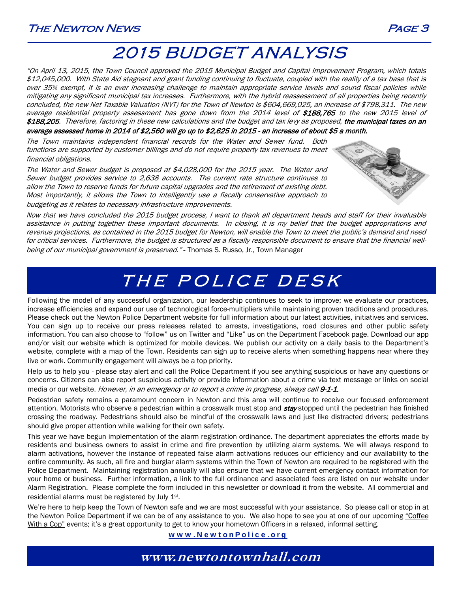### The Newton News Page 3

# 2015 BUDGET ANALYSIS

"On April 13, 2015, the Town Council approved the 2015 Municipal Budget and Capital Improvement Program, which totals \$12,045,000. With State Aid stagnant and grant funding continuing to fluctuate, coupled with the reality of a tax base that is over 35% exempt, it is an ever increasing challenge to maintain appropriate service levels and sound fiscal policies while mitigating any significant municipal tax increases. Furthermore, with the hybrid reassessment of all properties being recently concluded, the new Net Taxable Valuation (NVT) for the Town of Newton is \$604,669,025, an increase of \$798,311. The new average residential property assessment has gone down from the 2014 level of \$188,765 to the new 2015 level of \$188,205. Therefore, factoring in these new calculations and the budget and tax levy as proposed, the municipal taxes on an

average assessed home in 2014 of \$2,560 will go up to \$2,625 in 2015 - an increase of about \$5 a month.

The Town maintains independent financial records for the Water and Sewer fund. Both functions are supported by customer billings and do not require property tax revenues to meet financial obligations.

The Water and Sewer budget is proposed at \$4,028,000 for the 2015 year. The Water and Sewer budget provides service to 2,638 accounts. The current rate structure continues to allow the Town to reserve funds for future capital upgrades and the retirement of existing debt. Most importantly, it allows the Town to intelligently use a fiscally conservative approach to budgeting as it relates to necessary infrastructure improvements.



Now that we have concluded the 2015 budget process, I want to thank all department heads and staff for their invaluable assistance in putting together these important documents. In closing, it is my belief that the budget appropriations and revenue projections, as contained in the 2015 budget for Newton, will enable the Town to meet the public's demand and need for critical services. Furthermore, the budget is structured as a fiscally responsible document to ensure that the financial wellbeing of our municipal government is preserved." - Thomas S. Russo, Jr., Town Manager

# THE POLICE DESK

Following the model of any successful organization, our leadership continues to seek to improve; we evaluate our practices, increase efficiencies and expand our use of technological force-multipliers while maintaining proven traditions and procedures. Please check out the Newton Police Department website for full information about our latest activities, initiatives and services. You can sign up to receive our press releases related to arrests, investigations, road closures and other public safety information. You can also choose to "follow" us on Twitter and "Like" us on the Department Facebook page. Download our app and/or visit our website which is optimized for mobile devices. We publish our activity on a daily basis to the Department's website, complete with a map of the Town. Residents can sign up to receive alerts when something happens near where they live or work. Community engagement will always be a top priority.

Help us to help you - please stay alert and call the Police Department if you see anything suspicious or have any questions or concerns. Citizens can also report suspicious activity or provide information about a crime via text message or links on social media or our website. However, in an emergency or to report a crime in progress, always call 9-1-1.

Pedestrian safety remains a paramount concern in Newton and this area will continue to receive our focused enforcement attention. Motorists who observe a pedestrian within a crosswalk must stop and *stay* stopped until the pedestrian has finished crossing the roadway. Pedestrians should also be mindful of the crosswalk laws and just like distracted drivers; pedestrians should give proper attention while walking for their own safety.

This year we have begun implementation of the alarm registration ordinance. The department appreciates the efforts made by residents and business owners to assist in crime and fire prevention by utilizing alarm systems. We will always respond to alarm activations, however the instance of repeated false alarm activations reduces our efficiency and our availability to the entire community. As such, all fire and burglar alarm systems within the Town of Newton are required to be registered with the Police Department. Maintaining registration annually will also ensure that we have current emergency contact information for your home or business. Further information, a link to the full ordinance and associated fees are listed on our website under Alarm Registration. Please complete the form included in this newsletter or download it from the website. All commercial and residential alarms must be registered by July 1<sup>st</sup>.

We're here to help keep the Town of Newton safe and we are most successful with your assistance. So please call or stop in at the Newton Police Department if we can be of any assistance to you. We also hope to see you at one of our upcoming "Coffee" With a Cop" events; it's a great opportunity to get to know your hometown Officers in a relaxed, informal setting.

www.NewtonPolice.org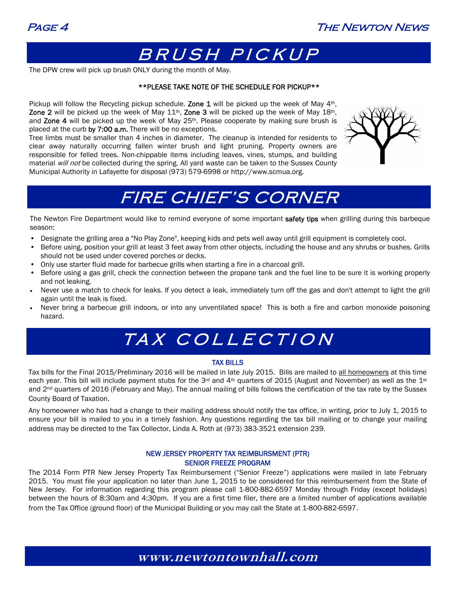

### BRUSH PICKUP

The DPW crew will pick up brush ONLY during the month of May.

#### \*\*PLEASE TAKE NOTE OF THE SCHEDULE FOR PICKUP\*\*

Pickup will follow the Recycling pickup schedule. Zone 1 will be picked up the week of May  $4<sup>th</sup>$ , **Zone 2** will be picked up the week of May  $11<sup>th</sup>$ , **Zone 3** will be picked up the week of May  $18<sup>th</sup>$ , and Zone 4 will be picked up the week of May  $25<sup>th</sup>$ . Please cooperate by making sure brush is placed at the curb by 7:00 a.m. There will be no exceptions.

Tree limbs must be smaller than 4 inches in diameter. The cleanup is intended for residents to clear away naturally occurring fallen winter brush and light pruning. Property owners are responsible for felled trees. Non-chippable items including leaves, vines, stumps, and building material will not be collected during the spring. All yard waste can be taken to the Sussex County Municipal Authority in Lafayette for disposal (973) 579-6998 or http://www.scmua.org.



### FIRE CHIEF'S CORNER

The Newton Fire Department would like to remind everyone of some important safety tips when grilling during this barbeque season:

- Designate the grilling area a "No Play Zone", keeping kids and pets well away until grill equipment is completely cool.
- Before using, position your grill at least 3 feet away from other objects, including the house and any shrubs or bushes. Grills should not be used under covered porches or decks.
- Only use starter fluid made for barbecue grills when starting a fire in a charcoal grill.
- Before using a gas grill, check the connection between the propane tank and the fuel line to be sure it is working properly and not leaking.
- Never use a match to check for leaks. If you detect a leak, immediately turn off the gas and don't attempt to light the grill again until the leak is fixed.
- Never bring a barbecue grill indoors, or into any unventilated space! This is both a fire and carbon monoxide poisoning hazard.

### TAX COLLECTION

#### TAX BILLS

Tax bills for the Final 2015/Preliminary 2016 will be mailed in late July 2015. Bills are mailed to all homeowners at this time each year. This bill will include payment stubs for the 3<sup>rd</sup> and 4<sup>th</sup> quarters of 2015 (August and November) as well as the 1<sup>st</sup> and 2<sup>nd</sup> quarters of 2016 (February and May). The annual mailing of bills follows the certification of the tax rate by the Sussex County Board of Taxation.

Any homeowner who has had a change to their mailing address should notify the tax office, in writing, prior to July 1, 2015 to ensure your bill is mailed to you in a timely fashion. Any questions regarding the tax bill mailing or to change your mailing address may be directed to the Tax Collector, Linda A. Roth at (973) 383-3521 extension 239.

#### NEW JERSEY PROPERTY TAX REIMBURSMENT (PTR) SENIOR FREEZE PROGRAM

The 2014 Form PTR New Jersey Property Tax Reimbursement ("Senior Freeze") applications were mailed in late February 2015. You must file your application no later than June 1, 2015 to be considered for this reimbursement from the State of New Jersey. For information regarding this program please call 1-800-882-6597 Monday through Friday (except holidays) between the hours of 8:30am and 4:30pm. If you are a first time filer, there are a limited number of applications available from the Tax Office (ground floor) of the Municipal Building or you may call the State at 1-800-882-6597.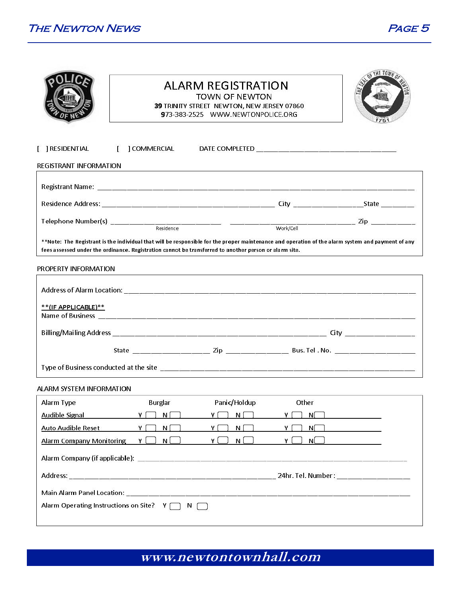|                                                                                                                                                                                                                                                                                                                                                                                                                                                        |                           | ALARM REGISTRATION<br>TOWN OF NEWTON                                            |               | OF THE TOWN O                                       |
|--------------------------------------------------------------------------------------------------------------------------------------------------------------------------------------------------------------------------------------------------------------------------------------------------------------------------------------------------------------------------------------------------------------------------------------------------------|---------------------------|---------------------------------------------------------------------------------|---------------|-----------------------------------------------------|
|                                                                                                                                                                                                                                                                                                                                                                                                                                                        |                           | 39 TRINITY STREET NEWTON, NEW JERSEY 07860<br>973-383-2525 WWW.NEWTONPOLICE.ORG |               |                                                     |
| ] RESIDENTIAL<br>T.                                                                                                                                                                                                                                                                                                                                                                                                                                    | 1 COMMERCIAL              |                                                                                 |               |                                                     |
| REGISTRANT INFORMATION                                                                                                                                                                                                                                                                                                                                                                                                                                 |                           |                                                                                 |               |                                                     |
|                                                                                                                                                                                                                                                                                                                                                                                                                                                        |                           |                                                                                 |               |                                                     |
|                                                                                                                                                                                                                                                                                                                                                                                                                                                        |                           |                                                                                 |               |                                                     |
| $\begin{array}{ccccccccccccc}\n\textbf{Telephone Number(s)} & \textcolor{red}{\textbf{1} & \textbf{1} & \textbf{1} & \textbf{1} & \textbf{1} & \textbf{1} & \textbf{1} & \textbf{1} & \textbf{1} & \textbf{1} & \textbf{1} & \textbf{1} & \textbf{1} & \textbf{1} & \textbf{1} & \textbf{1} & \textbf{1} & \textbf{1} & \textbf{1} & \textbf{1} & \textbf{1} & \textbf{1} & \textbf{1} & \textbf{1} & \textbf{1} & \textbf{1} & \textbf{1} & \textbf{$ |                           |                                                                                 |               |                                                     |
| **Note: The Registrant is the individual that will be responsible for the proper maintenance and operation of the alarm system and payment of any<br>fees assessed under the ordinance. Registration cannot be transferred to another person or alarm site.                                                                                                                                                                                            |                           |                                                                                 |               |                                                     |
| PROPERTY INFORMATION                                                                                                                                                                                                                                                                                                                                                                                                                                   |                           |                                                                                 |               |                                                     |
|                                                                                                                                                                                                                                                                                                                                                                                                                                                        |                           |                                                                                 |               |                                                     |
| **(IF APPLICABLE)**                                                                                                                                                                                                                                                                                                                                                                                                                                    |                           |                                                                                 |               |                                                     |
|                                                                                                                                                                                                                                                                                                                                                                                                                                                        |                           |                                                                                 |               |                                                     |
|                                                                                                                                                                                                                                                                                                                                                                                                                                                        |                           |                                                                                 |               |                                                     |
|                                                                                                                                                                                                                                                                                                                                                                                                                                                        |                           |                                                                                 |               |                                                     |
| Type of Business conducted at the site <b>conduction</b> and the site <b>conduction</b> and the site of Business conducted at the site <b>conduction</b> and the site of the site of the site of the site of the site of the site of the site                                                                                                                                                                                                          |                           |                                                                                 |               |                                                     |
| ALARM SYSTEM INFORMATION                                                                                                                                                                                                                                                                                                                                                                                                                               |                           |                                                                                 |               |                                                     |
| Alarm Type <b>Example 2018</b> Burglar                                                                                                                                                                                                                                                                                                                                                                                                                 |                           | Panic/Holdup                                                                    | Other         |                                                     |
| Audible Signal                                                                                                                                                                                                                                                                                                                                                                                                                                         | N [<br>ΥI                 | N [<br>Υſ                                                                       | Y<br>Νſ       |                                                     |
| <b>Auto Audible Reset</b>                                                                                                                                                                                                                                                                                                                                                                                                                              | $Y \Box$<br>N(            | Y (<br>N (                                                                      | ΥI<br>$N$ [ ] | the control of the control of the                   |
| <b>Alarm Company Monitoring</b>                                                                                                                                                                                                                                                                                                                                                                                                                        | $Y \square$<br>$N$ $\Box$ | γ (<br>$N \Box$                                                                 | Υ<br>N        | the contract of the contract of the contract of the |
|                                                                                                                                                                                                                                                                                                                                                                                                                                                        |                           |                                                                                 |               |                                                     |
|                                                                                                                                                                                                                                                                                                                                                                                                                                                        |                           |                                                                                 |               |                                                     |
|                                                                                                                                                                                                                                                                                                                                                                                                                                                        |                           |                                                                                 |               |                                                     |
| Alarm Operating Instructions on Site? Y   N                                                                                                                                                                                                                                                                                                                                                                                                            |                           |                                                                                 |               |                                                     |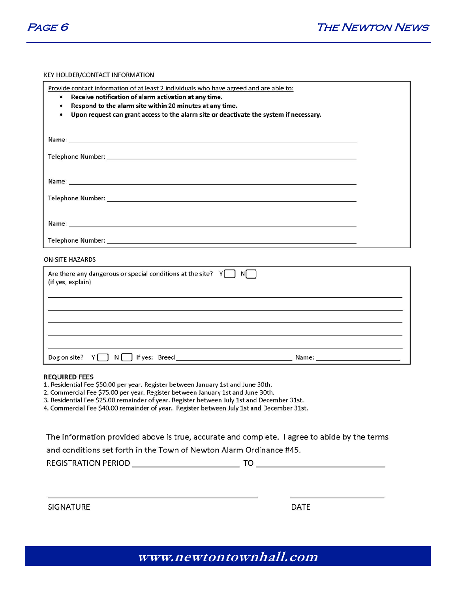

#### KEY HOLDER/CONTACT INFORMATION

| Provide contact information of at least 2 individuals who have agreed and are able to:<br>Receive notification of alarm activation at any time.<br>٠                                                                                 |  |
|--------------------------------------------------------------------------------------------------------------------------------------------------------------------------------------------------------------------------------------|--|
| Respond to the alarm site within 20 minutes at any time.<br>٠                                                                                                                                                                        |  |
| Upon request can grant access to the alarm site or deactivate the system if necessary.<br>$\bullet$                                                                                                                                  |  |
|                                                                                                                                                                                                                                      |  |
|                                                                                                                                                                                                                                      |  |
|                                                                                                                                                                                                                                      |  |
|                                                                                                                                                                                                                                      |  |
| Name: No. 2006. The contract of the contract of the contract of the contract of the contract of the contract of the contract of the contract of the contract of the contract of the contract of the contract of the contract o       |  |
|                                                                                                                                                                                                                                      |  |
|                                                                                                                                                                                                                                      |  |
| Name: <u>example and a series of the series of the series of the series of the series of the series of the series of the series of the series of the series of the series of the series of the series of the series of the serie</u> |  |
| Telephone Number: National Contract of the Contract of the Contract of the Contract of the Contract of the Contract of the Contract of the Contract of the Contract of the Contract of the Contract of the Contract of the Con       |  |
| <b>ON-SITE HAZARDS</b>                                                                                                                                                                                                               |  |
| Are there any dangerous or special conditions at the site? $Y$ [ ]<br>N  <br>(if yes, explain)                                                                                                                                       |  |
|                                                                                                                                                                                                                                      |  |
| ,我们也不会有什么。""我们的人,我们也不会有什么?""我们的人,我们也不会有什么?""我们的人,我们也不会有什么?""我们的人,我们也不会有什么?""我们的人                                                                                                                                                     |  |
| ,我们也不能会有什么。""我们的人,我们也不能会有什么?""我们的人,我们也不能会有什么?""我们的人,我们也不能会有什么?""我们的人,我们也不能会有什么?""                                                                                                                                                    |  |
| ,我们也不能在这里的时候,我们也不能在这里的时候,我们也不能会在这里的时候,我们也不能会在这里的时候,我们也不能会在这里的时候,我们也不能会在这里的时候,我们也                                                                                                                                                     |  |
|                                                                                                                                                                                                                                      |  |
|                                                                                                                                                                                                                                      |  |

#### **REQUIRED FEES**

- 1. Residential Fee \$50.00 per year. Register between January 1st and June 30th.
- 2. Commercial Fee \$75.00 per year. Register between January 1st and June 30th.
- 3. Residential Fee \$25.00 remainder of year. Register between July 1st and December 31st.
- 4. Commercial Fee \$40.00 remainder of year. Register between July 1st and December 31st.

The information provided above is true, accurate and complete. I agree to abide by the terms and conditions set forth in the Town of Newton Alarm Ordinance #45.

SIGNATURE

**DATE**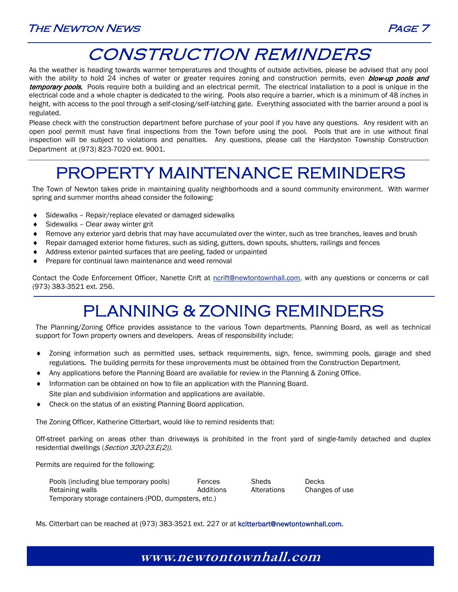### The Newton News Page 7



### CONSTRUCTION REMINDERS

As the weather is heading towards warmer temperatures and thoughts of outside activities, please be advised that any pool with the ability to hold 24 inches of water or greater requires zoning and construction permits, even blow-up pools and temporary pools. Pools require both a building and an electrical permit. The electrical installation to a pool is unique in the electrical code and a whole chapter is dedicated to the wiring. Pools also require a barrier, which is a minimum of 48 inches in height, with access to the pool through a self-closing/self-latching gate. Everything associated with the barrier around a pool is regulated.

Please check with the construction department before purchase of your pool if you have any questions. Any resident with an open pool permit must have final inspections from the Town before using the pool. Pools that are in use without final inspection will be subject to violations and penalties. Any questions, please call the Hardyston Township Construction Department at (973) 823-7020 ext. 9001.

# PROPERTY MAINTENANCE REMINDERS

The Town of Newton takes pride in maintaining quality neighborhoods and a sound community environment. With warmer spring and summer months ahead consider the following:

- Sidewalks Repair/replace elevated or damaged sidewalks
- ◆ Sidewalks Clear away winter grit
- Remove any exterior yard debris that may have accumulated over the winter, such as tree branches, leaves and brush
- Repair damaged exterior home fixtures, such as siding, gutters, down spouts, shutters, railings and fences
- Address exterior painted surfaces that are peeling, faded or unpainted
- ◆ Prepare for continual lawn maintenance and weed removal

Contact the Code Enforcement Officer, Nanette Crift at ncrift@newtontownhall.com, with any questions or concerns or call (973) 383-3521 ext. 256.

# PLANNING & ZONING REMINDERS

The Planning/Zoning Office provides assistance to the various Town departments, Planning Board, as well as technical support for Town property owners and developers. Areas of responsibility include:

- Zoning information such as permitted uses, setback requirements, sign, fence, swimming pools, garage and shed regulations. The building permits for these improvements must be obtained from the Construction Department.
- Any applications before the Planning Board are available for review in the Planning & Zoning Office.
- Information can be obtained on how to file an application with the Planning Board. Site plan and subdivision information and applications are available.
- Check on the status of an existing Planning Board application.

The Zoning Officer, Katherine Citterbart, would like to remind residents that:

Off-street parking on areas other than driveways is prohibited in the front yard of single-family detached and duplex residential dwellings (Section 320-23.E(2)).

Permits are required for the following:

| Pools (including blue temporary pools)              | <b>Fences</b> | Sheds       | Decks          |  |  |  |
|-----------------------------------------------------|---------------|-------------|----------------|--|--|--|
| Retaining walls                                     | Additions     | Alterations | Changes of use |  |  |  |
| Temporary storage containers (POD, dumpsters, etc.) |               |             |                |  |  |  |

Ms. Citterbart can be reached at (973) 383-3521 ext. 227 or at kcitterbart@newtontownhall.com.